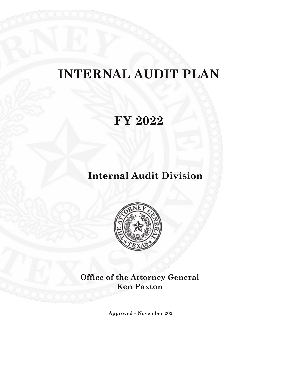# **INTERNAL AUDIT PLAN**

## **FY 2022**

### **Internal Audit Division**



**Office of the Attorney General Ken Paxton**

**Approved – November 2021**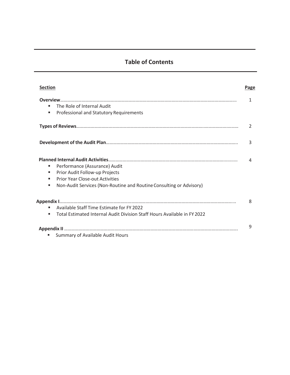### **Table of Contents**

| Section                                                                                                                                                                                              | Page          |
|------------------------------------------------------------------------------------------------------------------------------------------------------------------------------------------------------|---------------|
| The Role of Internal Audit<br>ш<br>Professional and Statutory Requirements<br>ш                                                                                                                      | 1             |
|                                                                                                                                                                                                      | $\mathcal{L}$ |
|                                                                                                                                                                                                      | 3             |
| Performance (Assurance) Audit<br>ш<br>Prior Audit Follow-up Projects<br>ш<br><b>Prior Year Close-out Activities</b><br>ш<br>Non-Audit Services (Non-Routine and Routine Consulting or Advisory)<br>ш | Δ             |
| Available Staff Time Estimate for FY 2022<br>ш.<br>Total Estimated Internal Audit Division Staff Hours Available in FY 2022<br>ш                                                                     | 8             |
| Summary of Available Audit Hours                                                                                                                                                                     | 9             |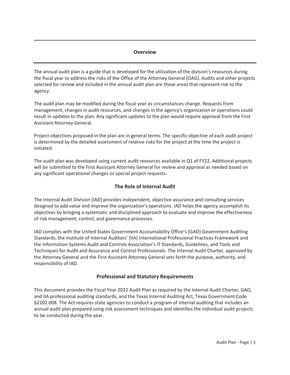#### **Overview**

The annual audit plan is a guide that is developed for the utilization of the division's resources during the fiscal year to address the risks of the Office of the Attorney General (OAG). Audits and other projects selected for review and included in the annual audit plan are those areas that represent risk to the agency.

The audit plan may be modified during the fiscal year as circumstances change. Requests from management, changes in audit resources, and changes in the agency's organization or operations could result in updates to the plan. Any significant updates to the plan would require approval from the First Assistant Attorney General.

Project objectives proposed in the plan are in general terms. The specific objective of each audit project is determined by the detailed assessment of relative risks for the project at the time the project is initiated.

The audit plan was developed using current audit resources available in Q1 of FY22. Additional projects will be submitted to the First Assistant Attorney General for review and approval as needed based on any significant operational changes or special project requests.

#### **The Role of Internal Audit**

The Internal Audit Division (IAD) provides independent, objective assurance and consulting services designed to add value and improve the organization's operations. IAD helps the agency accomplish its objectives by bringing a systematic and disciplined approach to evaluate and improve the effectiveness of risk management, control, and governance processes.

IAD complies with the United States Government Accountability Office's (GAO) Government Auditing Standards, the Institute of Internal Auditors' (IIA) International Professional Practices Framework and the Information Systems Audit and Controls Association's IT Standards, Guidelines, and Tools and Techniques for Audit and Assurance and Control Professionals. The Internal Audit Charter, approved by the Attorney General and the First Assistant Attorney General sets forth the purpose, authority, and responsibility of IAD.

#### **Professional and Statutory Requirements**

This document provides the Fiscal Year 2022 Audit Plan as required by the Internal Audit Charter, GAO, and IIA professional auditing standards, and the Texas Internal Auditing Act, Texas Government Code §2102.008. The Act requires state agencies to conduct a program of internal auditing that includes an annual audit plan prepared using risk assessment techniques and identifies the individual audit projects to be conducted during the year.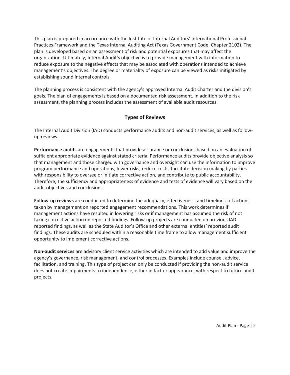This plan is prepared in accordance with the Institute of Internal Auditors' International Professional Practices Framework and the Texas Internal Auditing Act (Texas Government Code, Chapter 2102). The plan is developed based on an assessment of risk and potential exposures that may affect the organization. Ultimately, Internal Audit's objective is to provide management with information to reduce exposure to the negative effects that may be associated with operations intended to achieve management's objectives. The degree or materiality of exposure can be viewed as risks mitigated by establishing sound internal controls.

The planning process is consistent with the agency's approved Internal Audit Charter and the division's goals. The plan of engagements is based on a documented risk assessment. In addition to the risk assessment, the planning process includes the assessment of available audit resources.

#### **Types of Reviews**

The Internal Audit Division (IAD) conducts performance audits and non-audit services, as well as followup reviews.

**Performance audits** are engagements that provide assurance or conclusions based on an evaluation of sufficient appropriate evidence against stated criteria. Performance audits provide objective analysis so that management and those charged with governance and oversight can use the information to improve program performance and operations, lower risks, reduce costs, facilitate decision making by parties with responsibility to oversee or initiate corrective action, and contribute to public accountability. Therefore, the sufficiency and appropriateness of evidence and tests of evidence will vary based on the audit objectives and conclusions.

**Follow-up reviews** are conducted to determine the adequacy, effectiveness, and timeliness of actions taken by management on reported engagement recommendations. This work determines if management actions have resulted in lowering risks or if management has assumed the risk of not taking corrective action on reported findings. Follow-up projects are conducted on previous IAD reported findings, as well as the State Auditor's Office and other external entities' reported audit findings. These audits are scheduled within a reasonable time frame to allow management sufficient opportunity to implement corrective actions.

**Non-audit services** are advisory client service activities which are intended to add value and improve the agency's governance, risk management, and control processes. Examples include counsel, advice, facilitation, and training. This type of project can only be conducted if providing the non-audit service does not create impairments to independence, either in fact or appearance, with respect to future audit projects.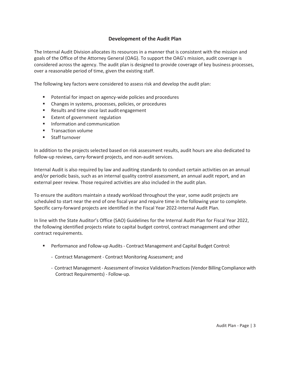#### **Development of the Audit Plan**

The Internal Audit Division allocates its resources in a manner that is consistent with the mission and goals of the Office of the Attorney General (OAG). To support the OAG's mission, audit coverage is considered across the agency. The audit plan is designed to provide coverage of key business processes, over a reasonable period of time, given the existing staff.

The following key factors were considered to assess risk and develop the audit plan:

- Potential for impact on agency-wide policies and procedures
- **EXEC** Changes in systems, processes, policies, or procedures
- Results and time since last audit engagement
- **Extent of government regulation**
- **Information and communication**
- **Transaction volume**
- **Staff turnover**

In addition to the projects selected based on risk assessment results, audit hours are also dedicated to follow-up reviews, carry-forward projects, and non-audit services.

Internal Audit is also required by law and auditing standards to conduct certain activities on an annual and/or periodic basis, such as an internal quality control assessment, an annual audit report, and an external peer review. Those required activities are also included in the audit plan.

To ensure the auditors maintain a steady workload throughout the year, some audit projects are scheduled to start near the end of one fiscal year and require time in the following year to complete. Specific carry-forward projects are identified in the Fiscal Year 2022-Internal Audit Plan.

In line with the State Auditor's Office (SAO) Guidelines for the Internal Audit Plan for Fiscal Year 2022, the following identified projects relate to capital budget control, contract management and other contract requirements.

- Performance and Follow-up Audits Contract Management and Capital Budget Control:
	- Contract Management Contract Monitoring Assessment; and
	- Contract Management Assessment of Invoice Validation Practices (Vendor Billing Compliance with Contract Requirements) - Follow-up.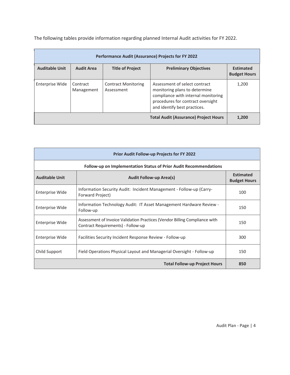The following tables provide information regarding planned Internal Audit activities for FY 2022.

| <b>Performance Audit (Assurance) Projects for FY 2022</b> |                        |                                          |                                                                                                                                                                            |                                         |
|-----------------------------------------------------------|------------------------|------------------------------------------|----------------------------------------------------------------------------------------------------------------------------------------------------------------------------|-----------------------------------------|
| <b>Auditable Unit</b>                                     | <b>Audit Area</b>      | <b>Title of Project</b>                  | <b>Preliminary Objectives</b>                                                                                                                                              | <b>Estimated</b><br><b>Budget Hours</b> |
| Enterprise Wide                                           | Contract<br>Management | <b>Contract Monitoring</b><br>Assessment | Assessment of select contract<br>monitoring plans to determine<br>compliance with internal monitoring<br>procedures for contract oversight<br>and identify best practices. | 1,200                                   |
|                                                           |                        |                                          | <b>Total Audit (Assurance) Project Hours</b>                                                                                                                               | 1.200                                   |

| <b>Prior Audit Follow-up Projects for FY 2022</b> |                                                                                                                  |                                         |  |
|---------------------------------------------------|------------------------------------------------------------------------------------------------------------------|-----------------------------------------|--|
|                                                   | Follow-up on Implementation Status of Prior Audit Recommendations                                                |                                         |  |
| <b>Auditable Unit</b>                             | <b>Audit Follow-up Area(s)</b>                                                                                   | <b>Estimated</b><br><b>Budget Hours</b> |  |
| Enterprise Wide                                   | Information Security Audit: Incident Management - Follow-up (Carry-<br>Forward Project)                          | 100                                     |  |
| Enterprise Wide                                   | Information Technology Audit: IT Asset Management Hardware Review -<br>Follow-up                                 | 150                                     |  |
| Enterprise Wide                                   | Assessment of Invoice Validation Practices (Vendor Billing Compliance with<br>Contract Requirements) - Follow-up | 150                                     |  |
| Enterprise Wide                                   | Facilities Security Incident Response Review - Follow-up                                                         | 300                                     |  |
| Child Support                                     | Field Operations Physical Layout and Managerial Oversight - Follow-up                                            | 150                                     |  |
|                                                   | <b>Total Follow-up Project Hours</b>                                                                             | 850                                     |  |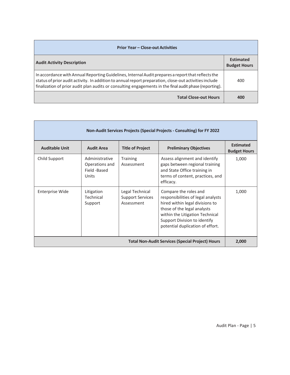| <b>Prior Year – Close-out Activities</b>                                                                                                                                                                                                                                                                                |                                         |  |
|-------------------------------------------------------------------------------------------------------------------------------------------------------------------------------------------------------------------------------------------------------------------------------------------------------------------------|-----------------------------------------|--|
| <b>Audit Activity Description</b>                                                                                                                                                                                                                                                                                       | <b>Estimated</b><br><b>Budget Hours</b> |  |
| In accordance with Annual Reporting Guidelines, Internal Audit prepares a report that reflects the<br>status of prior audit activity. In addition to annual report preparation, close-out activities include<br>finalization of prior audit plan audits or consulting engagements in the final audit phase (reporting). | 400                                     |  |
| <b>Total Close-out Hours</b>                                                                                                                                                                                                                                                                                            | 400                                     |  |

Г

| Non-Audit Services Projects (Special Projects - Consulting) for FY 2022 |                                                           |                                                                                                                                                                                                                                                                                                  |                                                                                                                                                  |                                         |
|-------------------------------------------------------------------------|-----------------------------------------------------------|--------------------------------------------------------------------------------------------------------------------------------------------------------------------------------------------------------------------------------------------------------------------------------------------------|--------------------------------------------------------------------------------------------------------------------------------------------------|-----------------------------------------|
| <b>Auditable Unit</b>                                                   | <b>Audit Area</b>                                         | <b>Title of Project</b>                                                                                                                                                                                                                                                                          | <b>Preliminary Objectives</b>                                                                                                                    | <b>Estimated</b><br><b>Budget Hours</b> |
| Child Support                                                           | Administrative<br>Operations and<br>Field -Based<br>Units | <b>Training</b><br>Assessment                                                                                                                                                                                                                                                                    | Assess alignment and identify<br>gaps between regional training<br>and State Office training in<br>terms of content, practices, and<br>efficacy. | 1,000                                   |
| Enterprise Wide                                                         | Litigation<br>Technical<br>Support                        | Compare the roles and<br>Legal Technical<br><b>Support Services</b><br>responsibilities of legal analysts<br>hired within legal divisions to<br>Assessment<br>those of the legal analysts<br>within the Litigation Technical<br>Support Division to identify<br>potential duplication of effort. |                                                                                                                                                  | 1,000                                   |
| <b>Total Non-Audit Services (Special Project) Hours</b>                 |                                                           |                                                                                                                                                                                                                                                                                                  |                                                                                                                                                  | 2,000                                   |

h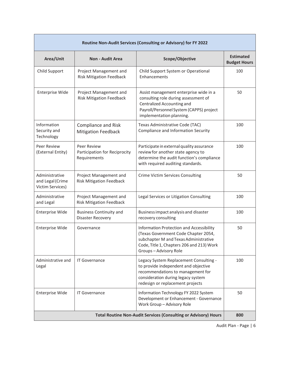| Routine Non-Audit Services (Consulting or Advisory) for FY 2022        |                                                              |                                                                                                                                                                                                |                                         |  |
|------------------------------------------------------------------------|--------------------------------------------------------------|------------------------------------------------------------------------------------------------------------------------------------------------------------------------------------------------|-----------------------------------------|--|
| Area/Unit                                                              | <b>Non - Audit Area</b>                                      | Scope/Objective                                                                                                                                                                                | <b>Estimated</b><br><b>Budget Hours</b> |  |
| Child Support                                                          | Project Management and<br><b>Risk Mitigation Feedback</b>    | Child Support System or Operational<br>Enhancements                                                                                                                                            | 100                                     |  |
| <b>Enterprise Wide</b>                                                 | Project Management and<br><b>Risk Mitigation Feedback</b>    | Assist management enterprise wide in a<br>consulting role during assessment of<br>Centralized Accounting and<br>Payroll/Personnel System (CAPPS) project<br>implementation planning.           | 50                                      |  |
| Information<br>Security and<br>Technology                              | <b>Compliance and Risk</b><br><b>Mitigation Feedback</b>     | Texas Administrative Code (TAC)<br>Compliance and Information Security                                                                                                                         | 100                                     |  |
| Peer Review<br>(External Entity)                                       | Peer Review<br>Participation for Reciprocity<br>Requirements | Participate in external quality assurance<br>review for another state agency to<br>determine the audit function's compliance<br>with required auditing standards.                              | 100                                     |  |
| Administrative<br>and Legal (Crime<br>Victim Services)                 | Project Management and<br><b>Risk Mitigation Feedback</b>    | Crime Victim Services Consulting                                                                                                                                                               | 50                                      |  |
| Administrative<br>and Legal                                            | Project Management and<br><b>Risk Mitigation Feedback</b>    | Legal Services or Litigation Consulting                                                                                                                                                        | 100                                     |  |
| <b>Enterprise Wide</b>                                                 | <b>Business Continuity and</b><br><b>Disaster Recovery</b>   | Business impact analysis and disaster<br>recovery consulting                                                                                                                                   | 100                                     |  |
| <b>Enterprise Wide</b>                                                 | Governance                                                   | Information Protection and Accessibility<br>(Texas Government Code Chapter 2054,<br>subchapter M and Texas Administrative<br>Code, Title 1, Chapters 206 and 213) Work<br>Groups-Advisory Role | 50                                      |  |
| Administrative and<br>Legal                                            | <b>IT Governance</b>                                         | Legacy System Replacement Consulting -<br>to provide independent and objective<br>recommendations to management for<br>consideration during legacy system<br>redesign or replacement projects  | 100                                     |  |
| <b>Enterprise Wide</b>                                                 | <b>IT Governance</b>                                         | Information Technology FY 2022 System<br>Development or Enhancement - Governance<br>Work Group - Advisory Role                                                                                 | 50                                      |  |
| <b>Total Routine Non-Audit Services (Consulting or Advisory) Hours</b> |                                                              |                                                                                                                                                                                                |                                         |  |

Audit Plan - Page | 6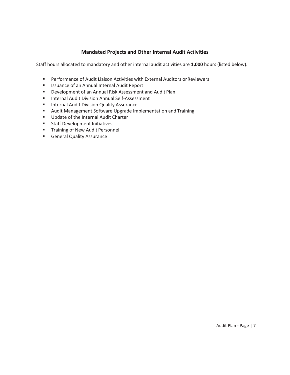#### **Mandated Projects and Other Internal Audit Activities**

Staff hours allocated to mandatory and other internal audit activities are **1,000** hours (listed below).

- **Performance of Audit Liaison Activities with External Auditors or Reviewers**
- **In Itsuance of an Annual Internal Audit Report**
- Development of an Annual Risk Assessment and Audit Plan
- **Internal Audit Division Annual Self-Assessment**
- **Internal Audit Division Quality Assurance**
- Audit Management Software Upgrade Implementation and Training
- **Update of the Internal Audit Charter**
- **Staff Development Initiatives**
- **Training of New Audit Personnel**
- **General Quality Assurance**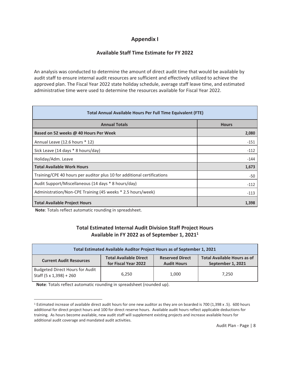#### **Appendix I**

#### **Available Staff Time Estimate for FY 2022**

An analysis was conducted to determine the amount of direct audit time that would be available by audit staff to ensure internal audit resources are sufficient and effectively utilized to achieve the approved plan. The Fiscal Year 2022 state holiday schedule, average staff leave time, and estimated administrative time were used to determine the resources available for Fiscal Year 2022.

| Total Annual Available Hours Per Full Time Equivalent (FTE)             |              |  |  |
|-------------------------------------------------------------------------|--------------|--|--|
| <b>Annual Totals</b>                                                    | <b>Hours</b> |  |  |
| Based on 52 weeks @ 40 Hours Per Week                                   | 2,080        |  |  |
| Annual Leave (12.6 hours * 12)                                          | $-151$       |  |  |
| Sick Leave (14 days * 8 hours/day)                                      | $-112$       |  |  |
| Holiday/Adm. Leave                                                      | $-144$       |  |  |
| <b>Total Available Work Hours</b>                                       | 1,673        |  |  |
| Training/CPE 40 hours per auditor plus 10 for additional certifications | -50          |  |  |
| Audit Support/Miscellaneous (14 days * 8 hours/day)                     | $-112$       |  |  |
| Administration/Non-CPE Training (45 weeks * 2.5 hours/week)             | $-113$       |  |  |
| <b>Total Available Project Hours</b>                                    | 1,398        |  |  |

 **Note**: Totals reflect automatic rounding in spreadsheet.

#### **Total Estimated Internal Audit Division Staff Project Hours Available in FY 2022 as of September 1, 20211**

| Total Estimated Available Auditor Project Hours as of September 1, 2021 |                                                       |                                              |                                                         |
|-------------------------------------------------------------------------|-------------------------------------------------------|----------------------------------------------|---------------------------------------------------------|
| <b>Current Audit Resources</b>                                          | <b>Total Available Direct</b><br>for Fiscal Year 2022 | <b>Reserved Direct</b><br><b>Audit Hours</b> | <b>Total Available Hours as of</b><br>September 1, 2021 |
| Budgeted Direct Hours for Audit<br>Staff (5 x 1,398) + 260              | 6.250                                                 | 1,000                                        | 7.250                                                   |

 **Note**: Totals reflect automatic rounding in spreadsheet (rounded up).

<sup>1</sup> Estimated increase of available direct audit hours for one new auditor as they are on boarded is 700 (1,398 x .5). 600 hours additional for direct project hours and 100 for direct reserve hours. Available audit hours reflect applicable deductions for training. As hours become available, new audit staff will supplement existing projects and increase available hours for additional audit coverage and mandated audit activities.